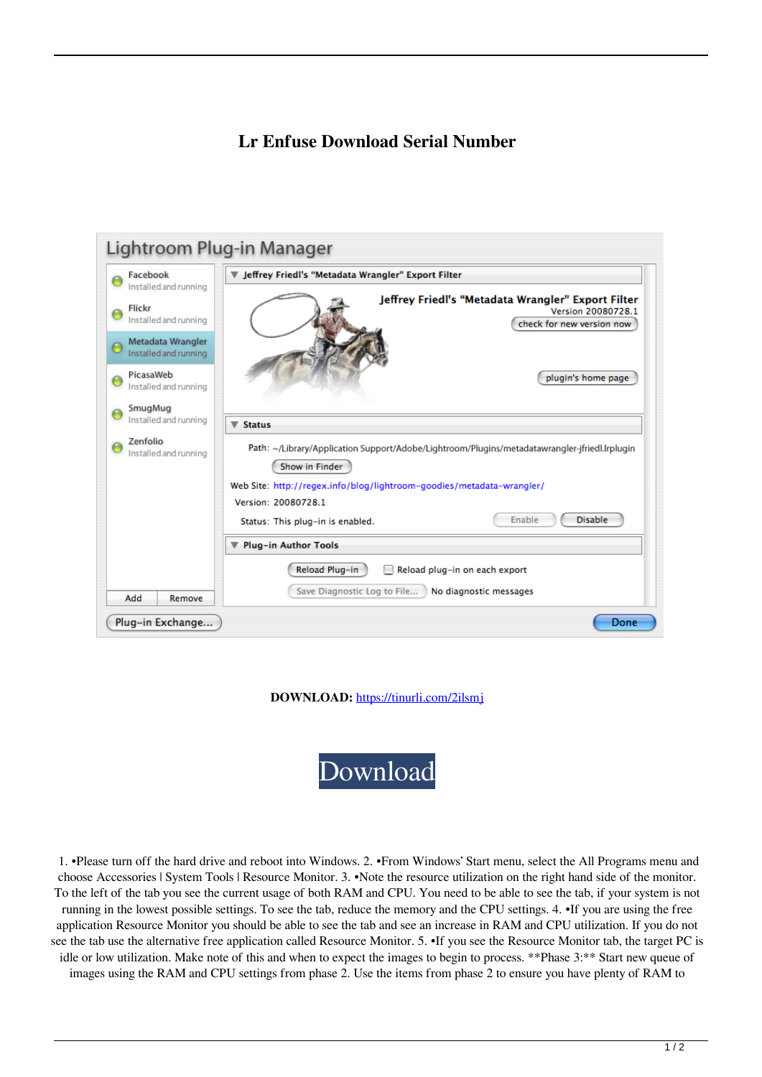## **Lr Enfuse Download Serial Number**

| Lightroom Plug-in Manager                  |                                                                                                                 |
|--------------------------------------------|-----------------------------------------------------------------------------------------------------------------|
| Facebook<br>Installed and running          | ▼ Jeffrey Friedl's "Metadata Wrangler" Export Filter                                                            |
| Flickr<br>Installed and running            | Jeffrey Friedl's "Metadata Wrangler" Export Filter<br>Version 20080728.1<br>check for new version now           |
| Metadata Wrangler<br>Installed and running |                                                                                                                 |
| PicasaWeb<br>Installed and running         | plugin's home page                                                                                              |
| SmugMug<br>Installed and running           | <b>Status</b><br>▼                                                                                              |
| Zenfolio<br>Installed and running          | Path: ~/Library/Application Support/Adobe/Lightroom/Plugins/metadatawrangler-jfriedl.lrplugin<br>Show in Finder |
|                                            | Web Site: http://regex.info/blog/lightroom-goodies/metadata-wrangler/                                           |
|                                            | Version: 20080728.1                                                                                             |
|                                            | <b>Disable</b><br>Enable<br>Status: This plug-in is enabled.                                                    |
|                                            | Plug-in Author Tools                                                                                            |
| Add<br>Remove                              | Reload Plug-in<br>Reload plug-in on each export<br>Save Diagnostic Log to File<br>No diagnostic messages        |
| Plug-in Exchange                           | Done                                                                                                            |

**DOWNLOAD:** <https://tinurli.com/2ilsmj>



 1. •Please turn off the hard drive and reboot into Windows. 2. •From Windows' Start menu, select the All Programs menu and choose Accessories | System Tools | Resource Monitor. 3. •Note the resource utilization on the right hand side of the monitor. To the left of the tab you see the current usage of both RAM and CPU. You need to be able to see the tab, if your system is not running in the lowest possible settings. To see the tab, reduce the memory and the CPU settings. 4. •If you are using the free application Resource Monitor you should be able to see the tab and see an increase in RAM and CPU utilization. If you do not see the tab use the alternative free application called Resource Monitor. 5. •If you see the Resource Monitor tab, the target PC is idle or low utilization. Make note of this and when to expect the images to begin to process. \*\*Phase 3:\*\* Start new queue of images using the RAM and CPU settings from phase 2. Use the items from phase 2 to ensure you have plenty of RAM to